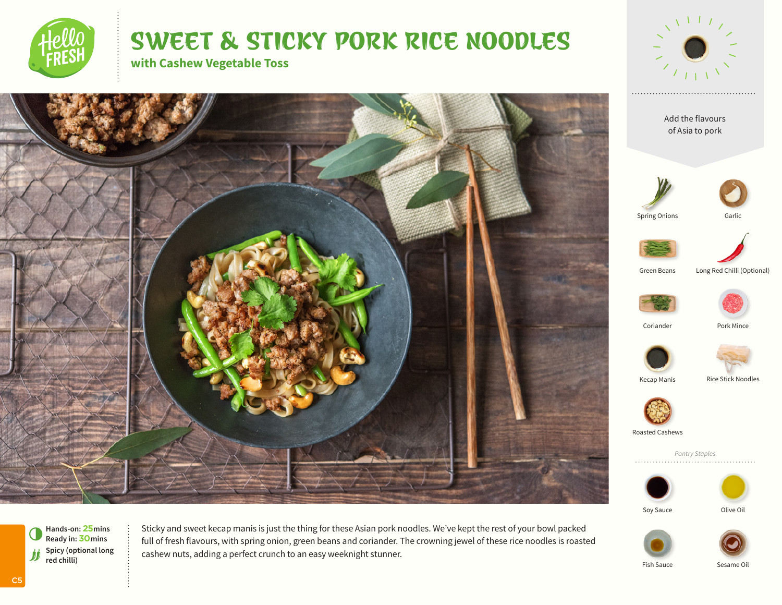

# SWEET & STICKY PORK RICE NOODLES

**with Cashew Vegetable Toss**









**Hands-on: 25mins** 6**Ready in: 30mins Spicy (optional long red chilli) red chilli)**

Sticky and sweet kecap manis is just the thing for these Asian pork noodles. We've kept the rest of your bowl packed full of fresh flavours, with spring onion, green beans and coriander. The crowning jewel of these rice noodles is roasted cashew nuts, adding a perfect crunch to an easy weeknight stunner.

C5

Soy Sauce **Olive Oil** 

Fish Sauce Sesame Oil